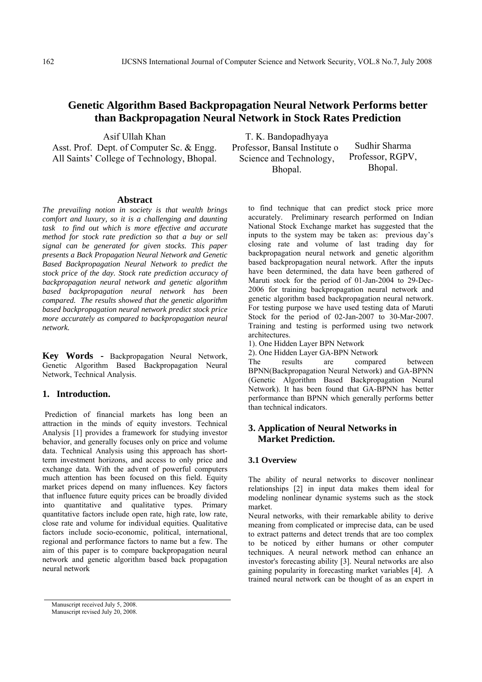# **Genetic Algorithm Based Backpropagation Neural Network Performs better than Backpropagation Neural Network in Stock Rates Prediction**

Asif Ullah Khan Asst. Prof. Dept. of Computer Sc. & Engg. All Saints' College of Technology, Bhopal.

T. K. Bandopadhyaya Professor, Bansal Institute of Science and Technology, Bhopal. Sudhir Sharma Professor, RGPV, Bhopal.

#### **Abstract**

*The prevailing notion in society is that wealth brings comfort and luxury, so it is a challenging and daunting task to find out which is more effective and accurate method for stock rate prediction so that a buy or sell signal can be generated for given stocks. This paper presents a Back Propagation Neural Network and Genetic Based Backpropagation Neural Network to predict the stock price of the day. Stock rate prediction accuracy of backpropagation neural network and genetic algorithm based backpropagation neural network has been compared. The results showed that the genetic algorithm based backpropagation neural network predict stock price more accurately as compared to backpropagation neural network.* 

**Key Words -** Backpropagation Neural Network, Genetic Algorithm Based Backpropagation Neural Network, Technical Analysis.

# **1. Introduction.**

Prediction of financial markets has long been an attraction in the minds of equity investors. Technical Analysis [1] provides a framework for studying investor behavior, and generally focuses only on price and volume data. Technical Analysis using this approach has shortterm investment horizons, and access to only price and exchange data. With the advent of powerful computers much attention has been focused on this field. Equity market prices depend on many influences. Key factors that influence future equity prices can be broadly divided into quantitative and qualitative types. Primary quantitative factors include open rate, high rate, low rate, close rate and volume for individual equities. Qualitative factors include socio-economic, political, international, regional and performance factors to name but a few. The aim of this paper is to compare backpropagation neural network and genetic algorithm based back propagation neural network

accurately. Preliminary research performed on Indian National Stock Exchange market has suggested that the inputs to the system may be taken as: previous day's closing rate and volume of last trading day for backpropagation neural network and genetic algorithm based backpropagation neural network. After the inputs have been determined, the data have been gathered of Maruti stock for the period of 01-Jan-2004 to 29-Dec-2006 for training backpropagation neural network and genetic algorithm based backpropagation neural network. For testing purpose we have used testing data of Maruti Stock for the period of 02-Jan-2007 to 30-Mar-2007. Training and testing is performed using two network architectures.

to find technique that can predict stock price more

1). One Hidden Layer BPN Network

2). One Hidden Layer GA-BPN Network

The results are compared between BPNN(Backpropagation Neural Network) and GA-BPNN (Genetic Algorithm Based Backpropagation Neural Network). It has been found that GA-BPNN has better performance than BPNN which generally performs better than technical indicators.

# **3. Application of Neural Networks in Market Prediction.**

#### **3.1 Overview**

The ability of neural networks to discover nonlinear relationships [2] in input data makes them ideal for modeling nonlinear dynamic systems such as the stock market.

Neural networks, with their remarkable ability to derive meaning from complicated or imprecise data, can be used to extract patterns and detect trends that are too complex to be noticed by either humans or other computer techniques. A neural network method can enhance an investor's forecasting ability [3]. Neural networks are also gaining popularity in forecasting market variables [4]. A trained neural network can be thought of as an expert in

Manuscript received July 5, 2008. Manuscript revised July 20, 2008.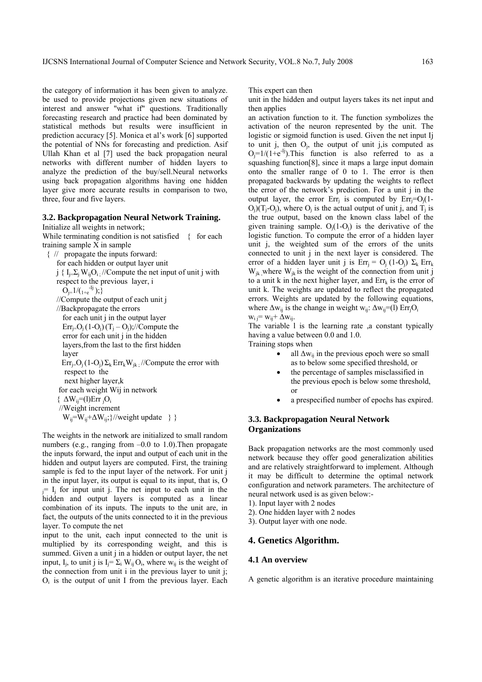the category of information it has been given to analyze. This expert can then be used to provide projections given new situations of interest and answer "what if" questions. Traditionally forecasting research and practice had been dominated by statistical methods but results were insufficient in prediction accuracy [5]. Monica et al's work [6] supported the potential of NNs for forecasting and prediction. Asif Ullah Khan et al [7] used the back propagation neural networks with different number of hidden layers to analyze the prediction of the buy/sell.Neural networks using back propagation algorithms having one hidden layer give more accurate results in comparison to two, three, four and five layers.

#### **3.2. Backpropagation Neural Network Training.**

Initialize all weights in network;

While terminating condition is not satisfied  $\{$  for each training sample X in sample

 { // propagate the inputs forward: for each hidden or output layer unit  $j \in I_{i=}\Sigma_{i} W_{ii}O_{i}$ . //Compute the net input of unit j with respect to the previous layer, i  $\tilde{O}_{i=1}/({}_{1+e}^{-Ij})$ ; //Compute the output of each unit j //Backpropagate the errors for each unit j in the output layer  $Err_i=O_i(1-O_i)(T_i-O_i)//Compute$  the error for each unit j in the hidden layers,from the last to the first hidden layer  $Err_i = O_i(1-O_i) \Sigma_k Err_kW_{ik}$ . //Compute the error with respect to the next higher layer,k for each weight Wij in network  $\{\Delta W_{ij}=(l)Err_iO_i\}$  //Weight increment  $W_{ii} = W_{ii} + \Delta W_{ii}$ ; }//weight update } }

The weights in the network are initialized to small random numbers (e.g., ranging from –0.0 to 1.0).Then propagate the inputs forward, the input and output of each unit in the hidden and output layers are computed. First, the training sample is fed to the input layer of the network. For unit j in the input layer, its output is equal to its input, that is, O  $j = I_j$  for input unit j. The net input to each unit in the hidden and output layers is computed as a linear combination of its inputs. The inputs to the unit are, in fact, the outputs of the units connected to it in the previous layer. To compute the net

input to the unit, each input connected to the unit is multiplied by its corresponding weight, and this is summed. Given a unit j in a hidden or output layer, the net input, I<sub>i</sub>, to unit j is I<sub>j</sub>=  $\Sigma$ <sub>i</sub> W<sub>ij</sub> O<sub>i</sub>, where w<sub>ij</sub> is the weight of the connection from unit i in the previous layer to unit j;  $O_i$  is the output of unit I from the previous layer. Each

unit in the hidden and output layers takes its net input and then applies

an activation function to it. The function symbolizes the activation of the neuron represented by the unit. The logistic or sigmoid function is used. Given the net input Ij to unit j, then  $O_i$ , the output of unit j, is computed as  $O_i=1/(1+e^{-1})$ . This function is also referred to as a squashing function[8], since it maps a large input domain onto the smaller range of 0 to 1. The error is then propagated backwards by updating the weights to reflect the error of the network's prediction. For a unit j in the output layer, the error Err<sub>i</sub> is computed by Err<sub>i</sub>=O<sub>i</sub>(1- $O_i$ )(T<sub>i</sub>-O<sub>i</sub>), where O<sub>i</sub> is the actual output of unit j, and T<sub>i</sub> is the true output, based on the known class label of the given training sample.  $O_i(1-O_i)$  is the derivative of the logistic function. To compute the error of a hidden layer unit j, the weighted sum of the errors of the units connected to unit j in the next layer is considered. The error of a hidden layer unit j is  $Err_i = O_i (1-O_i) \Sigma_k Err_k$  $W_{ik}$  where  $W_{ik}$  is the weight of the connection from unit j to a unit k in the next higher layer, and  $Err_k$  is the error of unit k. The weights are updated to reflect the propagated errors. Weights are updated by the following equations, where  $\Delta w_{ij}$  is the change in weight  $w_{ij}$ :  $\Delta w_{ij}$ =(1) Err<sub>i</sub>O<sub>i</sub>

 $w_i = w_{ij} + \Delta w_{ij}$ .

The variable l is the learning rate ,a constant typically having a value between 0.0 and 1.0.

Training stops when

- all  $\Delta w_{ii}$  in the previous epoch were so small as to below some specified threshold, or
- the percentage of samples misclassified in the previous epoch is below some threshold, or
- a prespecified number of epochs has expired.

## **3.3. Backpropagation Neural Network Organizations**

Back propagation networks are the most commonly used network because they offer good generalization abilities and are relatively straightforward to implement. Although it may be difficult to determine the optimal network configuration and network parameters. The architecture of neural network used is as given below:-

- 1). Input layer with 2 nodes
- 2). One hidden layer with 2 nodes
- 3). Output layer with one node.

#### **4. Genetics Algorithm.**

#### **4.1 An overview**

A genetic algorithm is an iterative procedure maintaining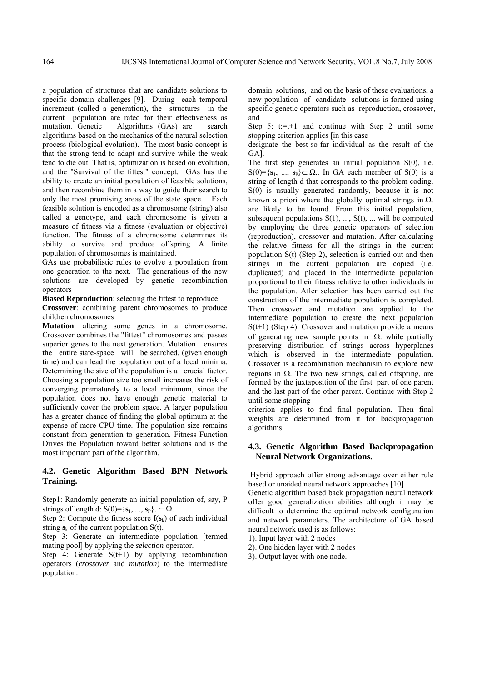a population of structures that are candidate solutions to specific domain challenges [9]. During each temporal increment (called a generation), the structures in the current population are rated for their effectiveness as mutation. Genetic Algorithms (GAs) are search algorithms based on the mechanics of the natural selection process (biological evolution). The most basic concept is that the strong tend to adapt and survive while the weak tend to die out. That is, optimization is based on evolution, and the "Survival of the fittest" concept. GAs has the ability to create an initial population of feasible solutions, and then recombine them in a way to guide their search to only the most promising areas of the state space. Each feasible solution is encoded as a chromosome (string) also called a genotype, and each chromosome is given a measure of fitness via a fitness (evaluation or objective) function. The fitness of a chromosome determines its ability to survive and produce offspring. A finite population of chromosomes is maintained.

GAs use probabilistic rules to evolve a population from one generation to the next. The generations of the new solutions are developed by genetic recombination operators

**Biased Reproduction**: selecting the fittest to reproduce

**Crossover**: combining parent chromosomes to produce children chromosomes

**Mutation**: altering some genes in a chromosome. Crossover combines the "fittest" chromosomes and passes superior genes to the next generation. Mutation ensures the entire state-space will be searched, (given enough time) and can lead the population out of a local minima. Determining the size of the population is a crucial factor. Choosing a population size too small increases the risk of converging prematurely to a local minimum, since the population does not have enough genetic material to sufficiently cover the problem space. A larger population has a greater chance of finding the global optimum at the expense of more CPU time. The population size remains constant from generation to generation. Fitness Function Drives the Population toward better solutions and is the most important part of the algorithm.

# **4.2. Genetic Algorithm Based BPN Network Training.**

Step1: Randomly generate an initial population of, say, P strings of length d:  $S(0) = \{s_1, ..., s_P\}$ .  $\subset \Omega$ .

Step 2: Compute the fitness score  $f(s_k)$  of each individual string  $\mathbf{s}_k$  of the current population  $S(t)$ .

Step 3: Generate an intermediate population [termed mating pool] by applying the *selection* operator.

Step 4: Generate  $S(t+1)$  by applying recombination operators (*crossover* and *mutation*) to the intermediate population.

domain solutions, and on the basis of these evaluations, a new population of candidate solutions is formed using specific genetic operators such as reproduction, crossover, and

Step 5:  $t:=t+1$  and continue with Step 2 until some stopping criterion applies [in this case

designate the best-so-far individual as the result of the GA].

The first step generates an initial population S(0), i.e. S(0)= $\{s_1, ..., s_p\} \subset \Omega$ .. In GA each member of S(0) is a string of length d that corresponds to the problem coding. S(0) is usually generated randomly, because it is not known a priori where the globally optimal strings in  $\Omega$ . are likely to be found. From this initial population, subsequent populations  $S(1)$ , ...,  $S(t)$ , ... will be computed by employing the three genetic operators of selection (reproduction), crossover and mutation. After calculating the relative fitness for all the strings in the current population S(t) (Step 2), selection is carried out and then strings in the current population are copied (i.e. duplicated) and placed in the intermediate population proportional to their fitness relative to other individuals in the population. After selection has been carried out the construction of the intermediate population is completed. Then crossover and mutation are applied to the intermediate population to create the next population  $S(t+1)$  (Step 4). Crossover and mutation provide a means of generating new sample points in  $\Omega$ , while partially preserving distribution of strings across hyperplanes which is observed in the intermediate population. Crossover is a recombination mechanism to explore new regions in Ω. The two new strings, called offspring, are formed by the juxtaposition of the first part of one parent and the last part of the other parent. Continue with Step 2 until some stopping

criterion applies to find final population. Then final weights are determined from it for backpropagation algorithms.

# **4.3. Genetic Algorithm Based Backpropagation Neural Network Organizations.**

 Hybrid approach offer strong advantage over either rule based or unaided neural network approaches [10]

Genetic algorithm based back propagation neural network offer good generalization abilities although it may be difficult to determine the optimal network configuration and network parameters. The architecture of GA based neural network used is as follows:

- 1). Input layer with 2 nodes
- 2). One hidden layer with 2 nodes
- 3). Output layer with one node.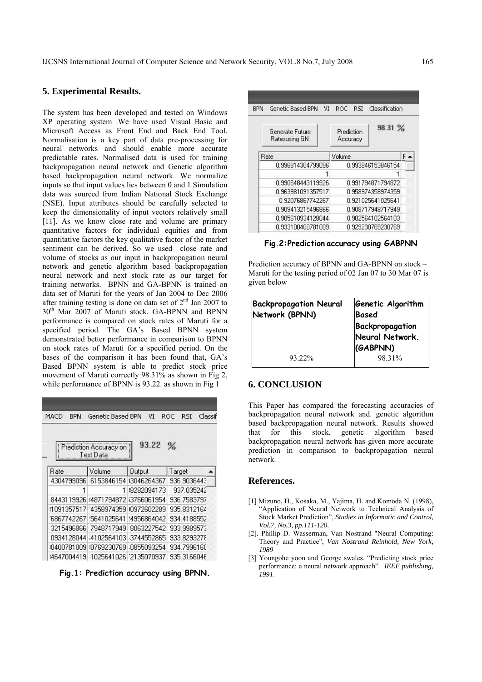## **5. Experimental Results.**

The system has been developed and tested on Windows XP operating system .We have used Visual Basic and Microsoft Access as Front End and Back End Tool. Normalisation is a key part of data pre-processing for neural networks and should enable more accurate predictable rates. Normalised data is used for training backpropagation neural network and Genetic algorithm based backpropagation neural network. We normalize inputs so that input values lies between 0 and 1.Simulation data was sourced from Indian National Stock Exchange (NSE). Input attributes should be carefully selected to keep the dimensionality of input vectors relatively small [11]. As we know close rate and volume are primary quantitative factors for individual equities and from quantitative factors the key qualitative factor of the market sentiment can be derived. So we used close rate and volume of stocks as our input in backpropagation neural network and genetic algorithm based backpropagation neural network and next stock rate as our target for training networks. BPNN and GA-BPNN is trained on data set of Maruti for the years of Jan 2004 to Dec 2006 after training testing is done on data set of  $2<sup>nd</sup>$  Jan 2007 to 30<sup>th</sup> Mar 2007 of Maruti stock. GA-BPNN and BPNN performance is compared on stock rates of Maruti for a specified period. The GA's Based BPNN system demonstrated better performance in comparison to BPNN on stock rates of Maruti for a specified period. On the bases of the comparison it has been found that, GA's Based BPNN system is able to predict stock price movement of Maruti correctly 98.31% as shown in Fig 2, while performance of BPNN is 93.22. as shown in Fig 1

| BPN<br>MACD  | Genetic Based BPN                             | VI               | ROC<br><b>RSI</b> | Classif |
|--------------|-----------------------------------------------|------------------|-------------------|---------|
| Rate         | Prediction Accuracy on<br>Test Data<br>Volume | 93.22%<br>Output | Target            |         |
| 4304799096   | -6153846154                                   | 13046264367      | 936.9036443       |         |
| 1            | 1                                             | 18282094173      | 937.035242        |         |
|              | 8443119926 14871794872                        | 3766061954       | 936.7583797       |         |
| :1091357517  | '4358974359                                   | 10972602289      | 935.8312164       |         |
|              | '6867742267 !5641025641                       | :4956864042      | 934 4188552       |         |
| 3215496866   | 7948717949                                    | 8063227542       | 933.9989573       |         |
| 0934128044   | 4102564103                                    | 3744552865       | 933.8293278       |         |
| 104007810091 | 10769230769                                   | 0855093254       | 934.7996160       |         |
|              | :4647004419 1025641026                        | '2135070937      | 935.3166046       |         |

**Fig.1: Prediction accuracy using BPNN.** 

| BPN | Genetic Based BPN                | VI | ROC.<br>RSI            | Classification    |    |
|-----|----------------------------------|----|------------------------|-------------------|----|
|     | Generate Future<br>Ratesusing GN |    | Prediction<br>Accuracy | 98.31%            |    |
|     | Rate                             |    | Volume                 |                   | F. |
|     | 0.996814304799096                |    |                        | 0.993846153846154 |    |
|     |                                  |    |                        |                   |    |
|     | 0.990648443119926                |    |                        | 0.991794871794872 |    |
|     | 0.963981091357517                |    |                        | 0.958974358974359 |    |
|     | 0.92076867742267                 |    |                        | 0.921025641025641 |    |
|     | 0.909413215496866                |    |                        | 0.908717948717949 |    |
|     | 0.905610934128044                |    |                        | 0.902564102564103 |    |
|     | 0.933100400781009                |    |                        | 0.929230769230769 |    |

**Fig.2:Prediction accuracy using GABPNN** 

Prediction accuracy of BPNN and GA-BPNN on stock – Maruti for the testing period of 02 Jan 07 to 30 Mar 07 is given below

| <b>Backpropagation Neural</b><br>Network (BPNN) | Genetic Algorithm<br>Based                     |  |  |
|-------------------------------------------------|------------------------------------------------|--|--|
|                                                 | Backpropagation<br>Neural Network.<br>(GABPNN) |  |  |
| 93 22%                                          | 98 31%                                         |  |  |

## **6. CONCLUSION**

This Paper has compared the forecasting accuracies of backpropagation neural network and. genetic algorithm based backpropagation neural network. Results showed that for this stock, genetic algorithm based backpropagation neural network has given more accurate prediction in comparison to backpropagation neural network.

## **References.**

- [1] Mizuno, H., Kosaka, M., Yajima, H. and Komoda N. (1998), "Application of Neural Network to Technical Analysis of Stock Market Prediction", *Studies in Informatic and Control, Vol.7, No.3, pp.111-120.*
- [2]. Phillip D. Wasserman, Van Nostrand "Neural Computing: Theory and Practice", *Van Nostrand Reinhold, New York, 1989*
- [3] Youngohc yoon and George swales. "Predicting stock price performance: a neural network approach". *IEEE publishing, 1991*.